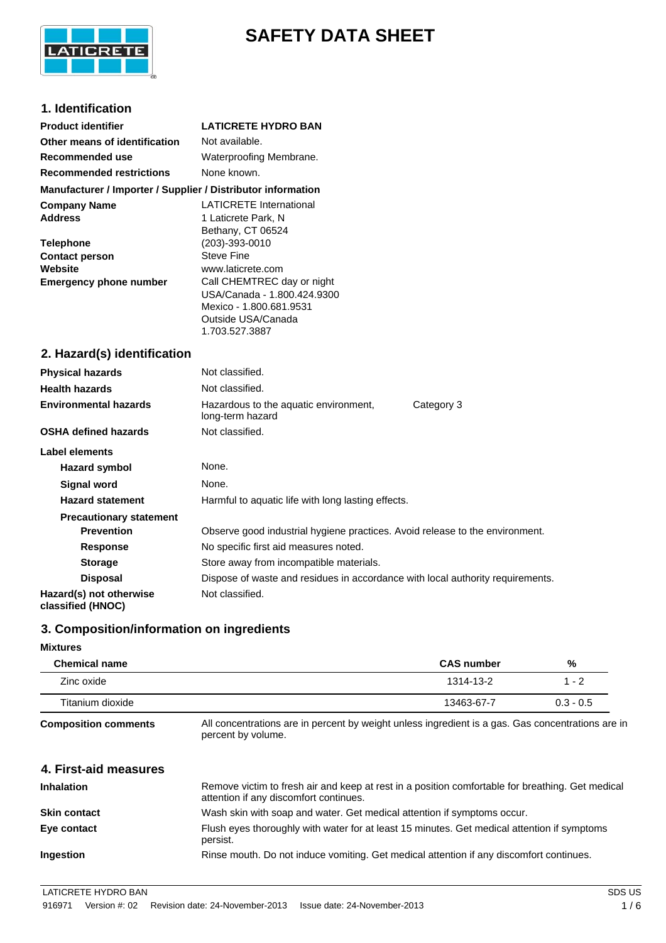

# **SAFETY DATA SHEET**

# **1. Identification**

| <b>Product identifier</b>                                                                                                      | <b>LATICRETE HYDRO BAN</b>                                                                                                                                                                                                                                             |  |  |
|--------------------------------------------------------------------------------------------------------------------------------|------------------------------------------------------------------------------------------------------------------------------------------------------------------------------------------------------------------------------------------------------------------------|--|--|
| Other means of identification                                                                                                  | Not available.                                                                                                                                                                                                                                                         |  |  |
| Recommended use                                                                                                                | Waterproofing Membrane.                                                                                                                                                                                                                                                |  |  |
| <b>Recommended restrictions</b>                                                                                                | None known.                                                                                                                                                                                                                                                            |  |  |
| Manufacturer / Importer / Supplier / Distributor information                                                                   |                                                                                                                                                                                                                                                                        |  |  |
| <b>Company Name</b><br><b>Address</b><br><b>Telephone</b><br><b>Contact person</b><br>Website<br><b>Emergency phone number</b> | <b>LATICRETE</b> International<br>1 Laticrete Park, N<br>Bethany, CT 06524<br>(203)-393-0010<br><b>Steve Fine</b><br>www.laticrete.com<br>Call CHEMTREC day or night<br>USA/Canada - 1.800.424.9300<br>Mexico - 1.800.681.9531<br>Outside USA/Canada<br>1.703.527.3887 |  |  |
| 2. Hazard(s) identification                                                                                                    |                                                                                                                                                                                                                                                                        |  |  |
| <b>Physical hazards</b>                                                                                                        | Not classified.                                                                                                                                                                                                                                                        |  |  |
| <b>Health hazards</b>                                                                                                          | Not classified.                                                                                                                                                                                                                                                        |  |  |
| <b>Environmental hazards</b>                                                                                                   | Hazardous to the aquatic environment,<br>Category 3<br>long-term hazard                                                                                                                                                                                                |  |  |
| <b>OSHA defined hazards</b>                                                                                                    | Not classified.                                                                                                                                                                                                                                                        |  |  |
| Label elements                                                                                                                 |                                                                                                                                                                                                                                                                        |  |  |
| <b>Hazard symbol</b>                                                                                                           | None.                                                                                                                                                                                                                                                                  |  |  |
| <b>Signal word</b>                                                                                                             | None.                                                                                                                                                                                                                                                                  |  |  |
| <b>Hazard statement</b>                                                                                                        | Harmful to aquatic life with long lasting effects.                                                                                                                                                                                                                     |  |  |
| <b>Precautionary statement</b>                                                                                                 |                                                                                                                                                                                                                                                                        |  |  |
| <b>Prevention</b>                                                                                                              | Observe good industrial hygiene practices. Avoid release to the environment.                                                                                                                                                                                           |  |  |
| <b>Response</b>                                                                                                                | No specific first aid measures noted.                                                                                                                                                                                                                                  |  |  |
| <b>Storage</b>                                                                                                                 | Store away from incompatible materials.                                                                                                                                                                                                                                |  |  |
| <b>Disposal</b>                                                                                                                | Dispose of waste and residues in accordance with local authority requirements.                                                                                                                                                                                         |  |  |
| Hazard(s) not otherwise<br>classified (HNOC)                                                                                   | Not classified.                                                                                                                                                                                                                                                        |  |  |

# **3. Composition/information on ingredients**

## **Mixtures**

| <b>Chemical name</b> | <b>CAS number</b> | %           |
|----------------------|-------------------|-------------|
| Zinc oxide           | 1314-13-2         | 1 - 2       |
| Titanium dioxide     | 13463-67-7        | $0.3 - 0.5$ |

**Composition comments** All concentrations are in percent by weight unless ingredient is a gas. Gas concentrations are in percent by volume.

| 4. First-aid measures |                                                                                                                                            |
|-----------------------|--------------------------------------------------------------------------------------------------------------------------------------------|
| <b>Inhalation</b>     | Remove victim to fresh air and keep at rest in a position comfortable for breathing. Get medical<br>attention if any discomfort continues. |
| <b>Skin contact</b>   | Wash skin with soap and water. Get medical attention if symptoms occur.                                                                    |
| Eye contact           | Flush eyes thoroughly with water for at least 15 minutes. Get medical attention if symptoms<br>persist.                                    |
| <b>Ingestion</b>      | Rinse mouth. Do not induce vomiting. Get medical attention if any discomfort continues.                                                    |

LATICRETE HYDRO BAN SDS US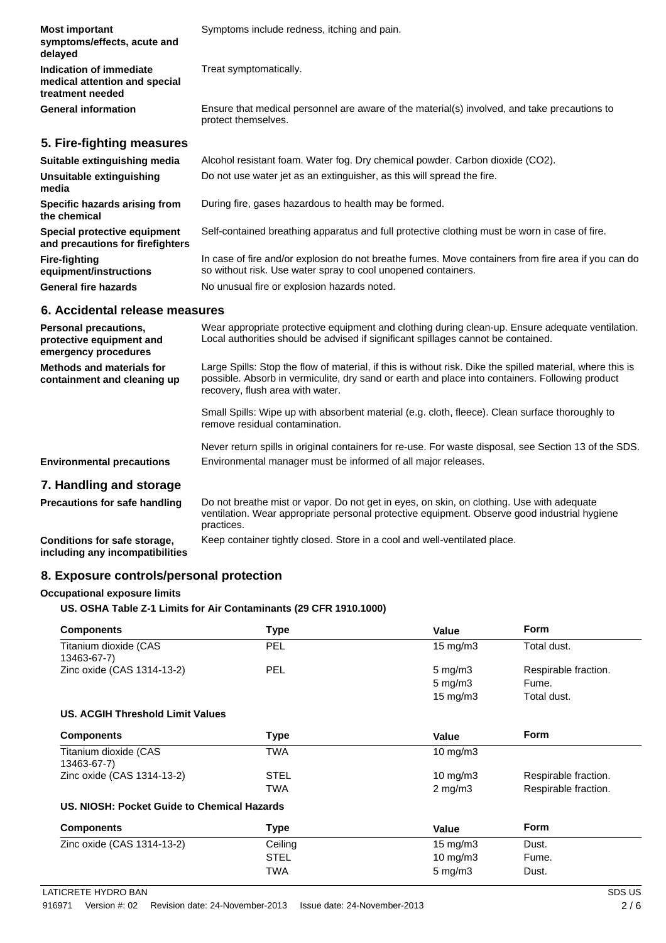| <b>Most important</b><br>symptoms/effects, acute and<br>delayed              | Symptoms include redness, itching and pain.                                                                                                                          |
|------------------------------------------------------------------------------|----------------------------------------------------------------------------------------------------------------------------------------------------------------------|
| Indication of immediate<br>medical attention and special<br>treatment needed | Treat symptomatically.                                                                                                                                               |
| <b>General information</b>                                                   | Ensure that medical personnel are aware of the material(s) involved, and take precautions to<br>protect themselves.                                                  |
| 5. Fire-fighting measures                                                    |                                                                                                                                                                      |
| Suitable extinguishing media                                                 | Alcohol resistant foam. Water fog. Dry chemical powder. Carbon dioxide (CO2).                                                                                        |
| Unsuitable extinguishing<br>media                                            | Do not use water jet as an extinguisher, as this will spread the fire.                                                                                               |
| Specific hazards arising from<br>the chemical                                | During fire, gases hazardous to health may be formed.                                                                                                                |
| Special protective equipment<br>and precautions for firefighters             | Self-contained breathing apparatus and full protective clothing must be worn in case of fire.                                                                        |
| <b>Fire-fighting</b><br>equipment/instructions                               | In case of fire and/or explosion do not breathe fumes. Move containers from fire area if you can do<br>so without risk. Use water spray to cool unopened containers. |
| <b>General fire hazards</b>                                                  | No unusual fire or explosion hazards noted.                                                                                                                          |

#### **6. Accidental release measures**

| <b>Personal precautions,</b><br>protective equipment and<br>emergency procedures | Wear appropriate protective equipment and clothing during clean-up. Ensure adequate ventilation.<br>Local authorities should be advised if significant spillages cannot be contained.                                                             |
|----------------------------------------------------------------------------------|---------------------------------------------------------------------------------------------------------------------------------------------------------------------------------------------------------------------------------------------------|
| Methods and materials for<br>containment and cleaning up                         | Large Spills: Stop the flow of material, if this is without risk. Dike the spilled material, where this is<br>possible. Absorb in vermiculite, dry sand or earth and place into containers. Following product<br>recovery, flush area with water. |
|                                                                                  | Small Spills: Wipe up with absorbent material (e.g. cloth, fleece). Clean surface thoroughly to<br>remove residual contamination.                                                                                                                 |
| <b>Environmental precautions</b>                                                 | Never return spills in original containers for re-use. For waste disposal, see Section 13 of the SDS.<br>Environmental manager must be informed of all major releases.                                                                            |
| 7. Handling and storage<br><b>Precautions for safe handling</b>                  | Do not breathe mist or vanor. Do not get in eves, on skin, on clothing. Use with adequate                                                                                                                                                         |

**Precautions for safe handling** Do not breathe mist or vapor. Do not get in eyes, on skin, on clothing. Use with ventilation. Wear appropriate personal protective equipment. Observe good industrial hygiene practices. **Conditions for safe storage, including any incompatibilities** Keep container tightly closed. Store in a cool and well-ventilated place.

#### **8. Exposure controls/personal protection**

#### **Occupational exposure limits**

**US. OSHA Table Z-1 Limits for Air Contaminants (29 CFR 1910.1000)**

| <b>Components</b>                           | <b>Type</b> | <b>Value</b>       | <b>Form</b>          |
|---------------------------------------------|-------------|--------------------|----------------------|
| Titanium dioxide (CAS<br>13463-67-7)        | <b>PEL</b>  | $15 \text{ mg/m}$  | Total dust.          |
| Zinc oxide (CAS 1314-13-2)                  | <b>PEL</b>  | $5 \text{ mg/m}$ 3 | Respirable fraction. |
|                                             |             | $5$ mg/m $3$       | Fume.                |
|                                             |             | $15 \text{ mg/m}$  | Total dust.          |
| US. ACGIH Threshold Limit Values            |             |                    |                      |
| <b>Components</b>                           | <b>Type</b> | <b>Value</b>       | <b>Form</b>          |
| Titanium dioxide (CAS<br>13463-67-7)        | TWA         | 10 mg/m $3$        |                      |
| Zinc oxide (CAS 1314-13-2)                  | <b>STEL</b> | 10 mg/m $3$        | Respirable fraction. |
|                                             | TWA         | $2$ mg/m $3$       | Respirable fraction. |
| US. NIOSH: Pocket Guide to Chemical Hazards |             |                    |                      |
| <b>Components</b>                           | Type        | <b>Value</b>       | <b>Form</b>          |
| Zinc oxide (CAS 1314-13-2)                  | Ceiling     | $15 \text{ mg/m}$  | Dust.                |
|                                             | <b>STEL</b> | 10 mg/m $3$        | Fume.                |
|                                             | TWA         | $5$ mg/m $3$       | Dust.                |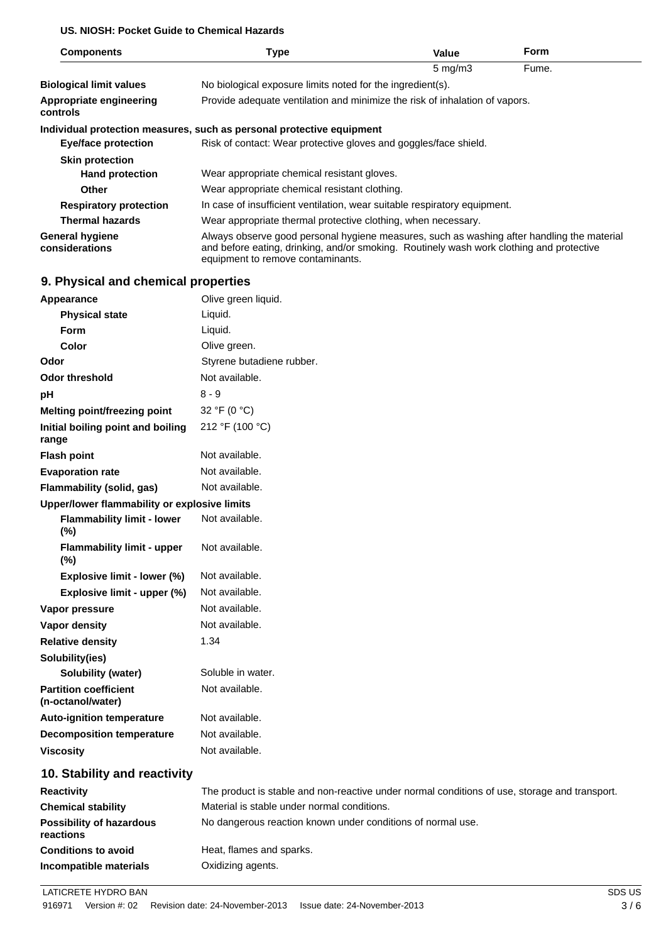### **US. NIOSH: Pocket Guide to Chemical Hazards**

| <b>Components</b>                          | Type                                                                                                                                                                                                                        | Value            | <b>Form</b> |  |
|--------------------------------------------|-----------------------------------------------------------------------------------------------------------------------------------------------------------------------------------------------------------------------------|------------------|-------------|--|
|                                            |                                                                                                                                                                                                                             | $5 \text{ mg/m}$ | Fume.       |  |
| <b>Biological limit values</b>             | No biological exposure limits noted for the ingredient(s).                                                                                                                                                                  |                  |             |  |
| Appropriate engineering<br>controls        | Provide adequate ventilation and minimize the risk of inhalation of vapors.                                                                                                                                                 |                  |             |  |
|                                            | Individual protection measures, such as personal protective equipment                                                                                                                                                       |                  |             |  |
| Eye/face protection                        | Risk of contact: Wear protective gloves and goggles/face shield.                                                                                                                                                            |                  |             |  |
| <b>Skin protection</b>                     |                                                                                                                                                                                                                             |                  |             |  |
| <b>Hand protection</b>                     | Wear appropriate chemical resistant gloves.                                                                                                                                                                                 |                  |             |  |
| <b>Other</b>                               | Wear appropriate chemical resistant clothing.                                                                                                                                                                               |                  |             |  |
| <b>Respiratory protection</b>              | In case of insufficient ventilation, wear suitable respiratory equipment.                                                                                                                                                   |                  |             |  |
| <b>Thermal hazards</b>                     | Wear appropriate thermal protective clothing, when necessary.                                                                                                                                                               |                  |             |  |
| <b>General hygiene</b><br>considerations   | Always observe good personal hygiene measures, such as washing after handling the material<br>and before eating, drinking, and/or smoking. Routinely wash work clothing and protective<br>equipment to remove contaminants. |                  |             |  |
| <b>Q.</b> Physical and chamical proporties |                                                                                                                                                                                                                             |                  |             |  |

### **9. Physical and chemical properties**

| <b>Appearance</b>                                 | Olive green liquid.                                                                           |
|---------------------------------------------------|-----------------------------------------------------------------------------------------------|
| <b>Physical state</b>                             | Liquid.                                                                                       |
| <b>Form</b>                                       | Liquid.                                                                                       |
| Color                                             | Olive green.                                                                                  |
| Odor                                              | Styrene butadiene rubber.                                                                     |
| <b>Odor threshold</b>                             | Not available.                                                                                |
| pН                                                | $8 - 9$                                                                                       |
| <b>Melting point/freezing point</b>               | 32 °F (0 °C)                                                                                  |
| Initial boiling point and boiling<br>range        | 212 °F (100 °C)                                                                               |
| <b>Flash point</b>                                | Not available.                                                                                |
| <b>Evaporation rate</b>                           | Not available.                                                                                |
| Flammability (solid, gas)                         | Not available.                                                                                |
| Upper/lower flammability or explosive limits      |                                                                                               |
| <b>Flammability limit - lower</b><br>(%)          | Not available.                                                                                |
| <b>Flammability limit - upper</b><br>(%)          | Not available.                                                                                |
| Explosive limit - lower (%)                       | Not available.                                                                                |
| Explosive limit - upper (%)                       | Not available.                                                                                |
| Vapor pressure                                    | Not available.                                                                                |
| <b>Vapor density</b>                              | Not available.                                                                                |
| <b>Relative density</b>                           | 1.34                                                                                          |
| Solubility(ies)                                   |                                                                                               |
| <b>Solubility (water)</b>                         | Soluble in water.                                                                             |
| <b>Partition coefficient</b><br>(n-octanol/water) | Not available.                                                                                |
| <b>Auto-ignition temperature</b>                  | Not available.                                                                                |
| <b>Decomposition temperature</b>                  | Not available.                                                                                |
| <b>Viscosity</b>                                  | Not available.                                                                                |
| 10. Stability and reactivity                      |                                                                                               |
| <b>Reactivity</b>                                 | The product is stable and non-reactive under normal conditions of use, storage and transport. |
| <b>Chemical stability</b>                         | Material is stable under normal conditions.                                                   |

| <b>Chemical stability</b>                    | Material is stable under normal conditions.                 |
|----------------------------------------------|-------------------------------------------------------------|
| <b>Possibility of hazardous</b><br>reactions | No dangerous reaction known under conditions of normal use. |
| <b>Conditions to avoid</b>                   | Heat, flames and sparks.                                    |
| Incompatible materials                       | Oxidizing agents.                                           |

LATICRETE HYDRO BAN SDS US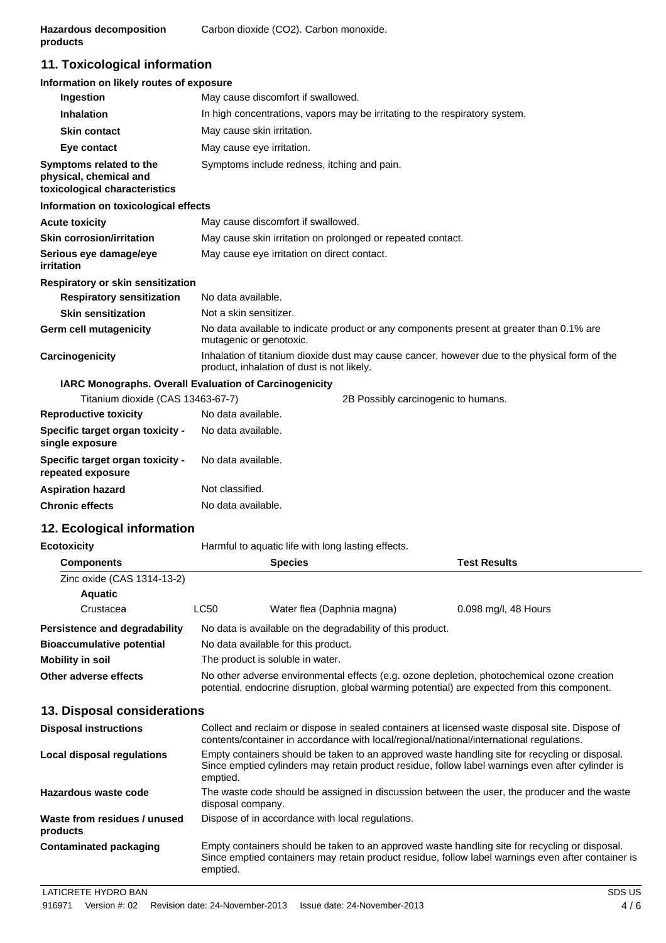# **11. Toxicological information**

| Information on likely routes of exposure                                           |                                                                                                                                             |  |  |
|------------------------------------------------------------------------------------|---------------------------------------------------------------------------------------------------------------------------------------------|--|--|
| Ingestion                                                                          | May cause discomfort if swallowed.                                                                                                          |  |  |
| <b>Inhalation</b>                                                                  | In high concentrations, vapors may be irritating to the respiratory system.                                                                 |  |  |
| <b>Skin contact</b>                                                                | May cause skin irritation.                                                                                                                  |  |  |
| Eye contact                                                                        | May cause eye irritation.                                                                                                                   |  |  |
| Symptoms related to the<br>physical, chemical and<br>toxicological characteristics | Symptoms include redness, itching and pain.                                                                                                 |  |  |
| Information on toxicological effects                                               |                                                                                                                                             |  |  |
| <b>Acute toxicity</b>                                                              | May cause discomfort if swallowed.                                                                                                          |  |  |
| <b>Skin corrosion/irritation</b>                                                   | May cause skin irritation on prolonged or repeated contact.                                                                                 |  |  |
| Serious eye damage/eye<br>irritation                                               | May cause eye irritation on direct contact.                                                                                                 |  |  |
| Respiratory or skin sensitization                                                  |                                                                                                                                             |  |  |
| <b>Respiratory sensitization</b>                                                   | No data available.                                                                                                                          |  |  |
| <b>Skin sensitization</b>                                                          | Not a skin sensitizer.                                                                                                                      |  |  |
| Germ cell mutagenicity                                                             | No data available to indicate product or any components present at greater than 0.1% are<br>mutagenic or genotoxic.                         |  |  |
| Carcinogenicity                                                                    | Inhalation of titanium dioxide dust may cause cancer, however due to the physical form of the<br>product, inhalation of dust is not likely. |  |  |
|                                                                                    | IARC Monographs. Overall Evaluation of Carcinogenicity                                                                                      |  |  |
| Titanium dioxide (CAS 13463-67-7)                                                  | 2B Possibly carcinogenic to humans.                                                                                                         |  |  |
| <b>Reproductive toxicity</b>                                                       | No data available.                                                                                                                          |  |  |
| Specific target organ toxicity -                                                   | No data available.                                                                                                                          |  |  |

| single exposure                                       |                    |
|-------------------------------------------------------|--------------------|
| Specific target organ toxicity -<br>repeated exposure | No data available. |
| <b>Aspiration hazard</b>                              | Not classified.    |
| <b>Chronic effects</b>                                | No data available. |

# **12. Ecological information**

| Ecotoxicity                          |                                                                                                                                                                                            | Harmful to aquatic life with long lasting effects.         |                      |
|--------------------------------------|--------------------------------------------------------------------------------------------------------------------------------------------------------------------------------------------|------------------------------------------------------------|----------------------|
| <b>Components</b>                    |                                                                                                                                                                                            | <b>Species</b>                                             | <b>Test Results</b>  |
| Zinc oxide (CAS 1314-13-2)           |                                                                                                                                                                                            |                                                            |                      |
| Aquatic                              |                                                                                                                                                                                            |                                                            |                      |
| Crustacea                            | LC50                                                                                                                                                                                       | Water flea (Daphnia magna)                                 | 0.098 mg/l, 48 Hours |
| <b>Persistence and degradability</b> |                                                                                                                                                                                            | No data is available on the degradability of this product. |                      |
| <b>Bioaccumulative potential</b>     |                                                                                                                                                                                            | No data available for this product.                        |                      |
| <b>Mobility in soil</b>              |                                                                                                                                                                                            | The product is soluble in water.                           |                      |
| Other adverse effects                | No other adverse environmental effects (e.g. ozone depletion, photochemical ozone creation<br>potential, endocrine disruption, global warming potential) are expected from this component. |                                                            |                      |

## **13. Disposal considerations**

| <b>Disposal instructions</b>             | Collect and reclaim or dispose in sealed containers at licensed waste disposal site. Dispose of<br>contents/container in accordance with local/regional/national/international regulations.                      |
|------------------------------------------|------------------------------------------------------------------------------------------------------------------------------------------------------------------------------------------------------------------|
| Local disposal regulations               | Empty containers should be taken to an approved waste handling site for recycling or disposal.<br>Since emptied cylinders may retain product residue, follow label warnings even after cylinder is<br>emptied.   |
| Hazardous waste code                     | The waste code should be assigned in discussion between the user, the producer and the waste<br>disposal company.                                                                                                |
| Waste from residues / unused<br>products | Dispose of in accordance with local regulations.                                                                                                                                                                 |
| <b>Contaminated packaging</b>            | Empty containers should be taken to an approved waste handling site for recycling or disposal.<br>Since emptied containers may retain product residue, follow label warnings even after container is<br>emptied. |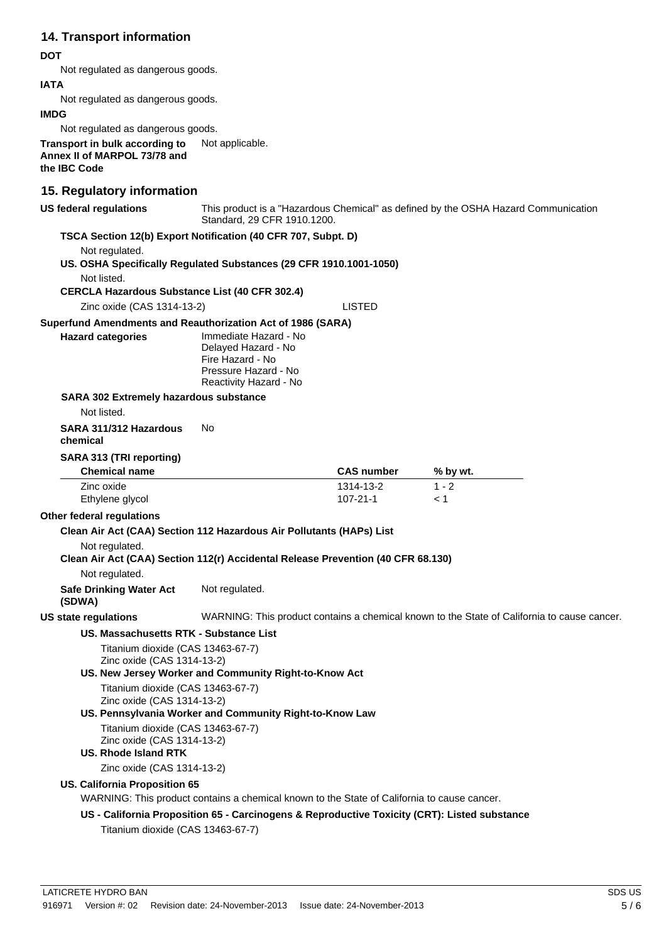## **14. Transport information**

#### **DOT**

Not regulated as dangerous goods.

#### **IATA**

Not regulated as dangerous goods.

#### **IMDG**

Not regulated as dangerous goods.

**Transport in bulk according to** Not applicable. **Annex II of MARPOL 73/78 and the IBC Code**

#### **15. Regulatory information**

**US federal regulations** This product is a "Hazardous Chemical" as defined by the OSHA Hazard Communication Standard, 29 CFR 1910.1200.

**TSCA Section 12(b) Export Notification (40 CFR 707, Subpt. D)**

Not regulated.

**US. OSHA Specifically Regulated Substances (29 CFR 1910.1001-1050)**

Not listed.

**CERCLA Hazardous Substance List (40 CFR 302.4)**

Zinc oxide (CAS 1314-13-2) LISTED

#### **Superfund Amendments and Reauthorization Act of 1986 (SARA)**

| <b>Hazard categories</b> | Immediate Hazard - No  |
|--------------------------|------------------------|
|                          | Delayed Hazard - No    |
|                          | Fire Hazard - No       |
|                          | Pressure Hazard - No   |
|                          | Reactivity Hazard - No |

#### **SARA 302 Extremely hazardous substance**

Not listed.

**SARA 311/312 Hazardous** No

```
chemical
```
#### **SARA 313 (TRI reporting)**

| <b>Chemical name</b> | <b>CAS number</b> | % by wt. |
|----------------------|-------------------|----------|
| Zinc oxide           | 1314-13-2         | 1 - 2    |
| Ethylene glycol      | $107 - 21 - 1$    |          |

#### **Other federal regulations**

#### **Clean Air Act (CAA) Section 112 Hazardous Air Pollutants (HAPs) List**

#### Not regulated.

#### **Clean Air Act (CAA) Section 112(r) Accidental Release Prevention (40 CFR 68.130)**

Not regulated.

**Safe Drinking Water Act (SDWA)** Not regulated.

**US state regulations** WARNING: This product contains a chemical known to the State of California to cause cancer.

#### **US. Massachusetts RTK - Substance List**

Titanium dioxide (CAS 13463-67-7) Zinc oxide (CAS 1314-13-2)

**US. New Jersey Worker and Community Right-to-Know Act**

Titanium dioxide (CAS 13463-67-7) Zinc oxide (CAS 1314-13-2)

**US. Pennsylvania Worker and Community Right-to-Know Law**

Titanium dioxide (CAS 13463-67-7) Zinc oxide (CAS 1314-13-2)

# **US. Rhode Island RTK**

Zinc oxide (CAS 1314-13-2)

#### **US. California Proposition 65**

WARNING: This product contains a chemical known to the State of California to cause cancer.

**US - California Proposition 65 - Carcinogens & Reproductive Toxicity (CRT): Listed substance**

Titanium dioxide (CAS 13463-67-7)